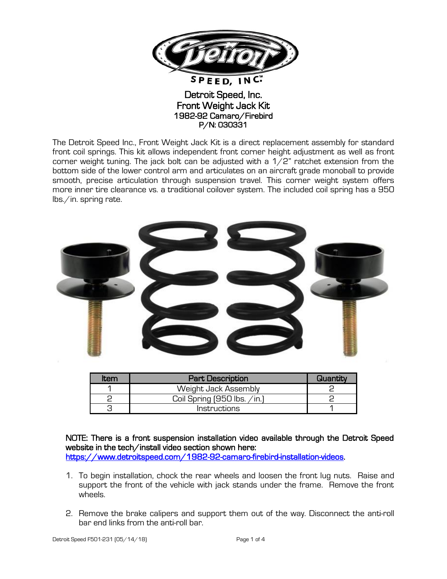

Detroit Speed, Inc. Front Weight Jack Kit 1982-92 Camaro/Firebird P/N: 030331

The Detroit Speed Inc., Front Weight Jack Kit is a direct replacement assembly for standard front coil springs. This kit allows independent front corner height adjustment as well as front corner weight tuning. The jack bolt can be adjusted with a  $1/2$ " ratchet extension from the bottom side of the lower control arm and articulates on an aircraft grade monoball to provide smooth, precise articulation through suspension travel. This corner weight system offers more inner tire clearance vs. a traditional coilover system. The included coil spring has a 950 lbs./in. spring rate.



| Item | <b>Part Description</b>        | Quantity |
|------|--------------------------------|----------|
|      | Weight Jack Assembly           |          |
|      | Coil Spring $(950$ lbs. $\sin$ |          |
|      | <i>Instructions</i>            |          |

NOTE: There is a front suspension installation video available through the Detroit Speed website in the tech/install video section shown here: [https://www.detroitspeed.com/1982-92-camaro-firebird-installation-videos.](https://www.detroitspeed.com/1982-92-camaro-firebird-installation-videos)

- 1. To begin installation, chock the rear wheels and loosen the front lug nuts. Raise and support the front of the vehicle with jack stands under the frame. Remove the front wheels.
- 2. Remove the brake calipers and support them out of the way. Disconnect the anti-roll bar end links from the anti-roll bar.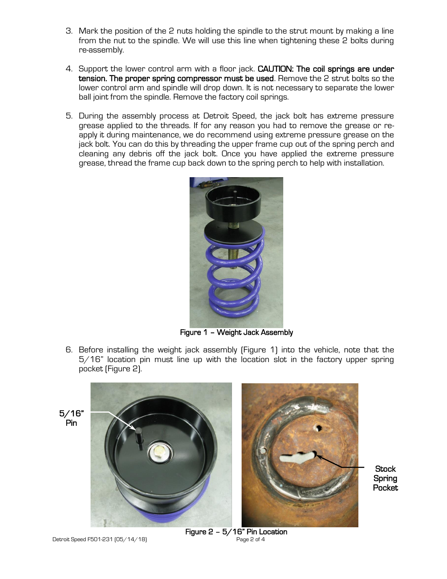- 3. Mark the position of the 2 nuts holding the spindle to the strut mount by making a line from the nut to the spindle. We will use this line when tightening these 2 bolts during re-assembly.
- 4. Support the lower control arm with a floor jack. CAUTION: The coil springs are under tension. The proper spring compressor must be used. Remove the 2 strut bolts so the lower control arm and spindle will drop down. It is not necessary to separate the lower ball joint from the spindle. Remove the factory coil springs.
- 5. During the assembly process at Detroit Speed, the jack bolt has extreme pressure grease applied to the threads. If for any reason you had to remove the grease or reapply it during maintenance, we do recommend using extreme pressure grease on the jack bolt. You can do this by threading the upper frame cup out of the spring perch and cleaning any debris off the jack bolt. Once you have applied the extreme pressure grease, thread the frame cup back down to the spring perch to help with installation.



Figure 1 – Weight Jack Assembly

6. Before installing the weight jack assembly (Figure 1) into the vehicle, note that the 5/16" location pin must line up with the location slot in the factory upper spring pocket (Figure 2).



**Stock** Spring Pocket

Detroit Speed F501-231 [05/14/18] Page 2 of 4

Figure 2 – 5/16" Pin Location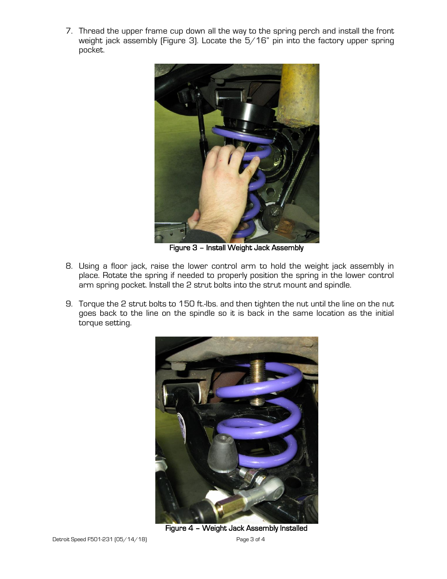7. Thread the upper frame cup down all the way to the spring perch and install the front weight jack assembly (Figure 3). Locate the 5/16" pin into the factory upper spring pocket.



Figure 3 – Install Weight Jack Assembly

- 8. Using a floor jack, raise the lower control arm to hold the weight jack assembly in place. Rotate the spring if needed to properly position the spring in the lower control arm spring pocket. Install the 2 strut bolts into the strut mount and spindle.
- 9. Torque the 2 strut bolts to 150 ft.-lbs. and then tighten the nut until the line on the nut goes back to the line on the spindle so it is back in the same location as the initial torque setting.



Figure 4 – Weight Jack Assembly Installed